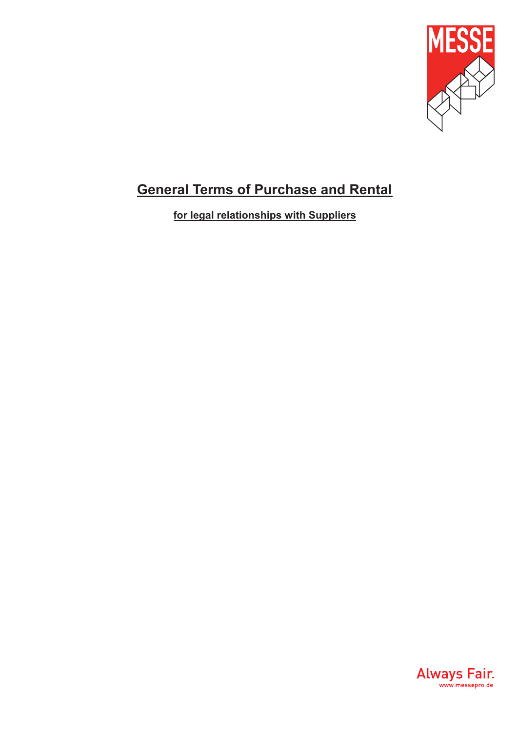

# **General Terms of Purchase and Rental**

**for legal relationships with Suppliers**

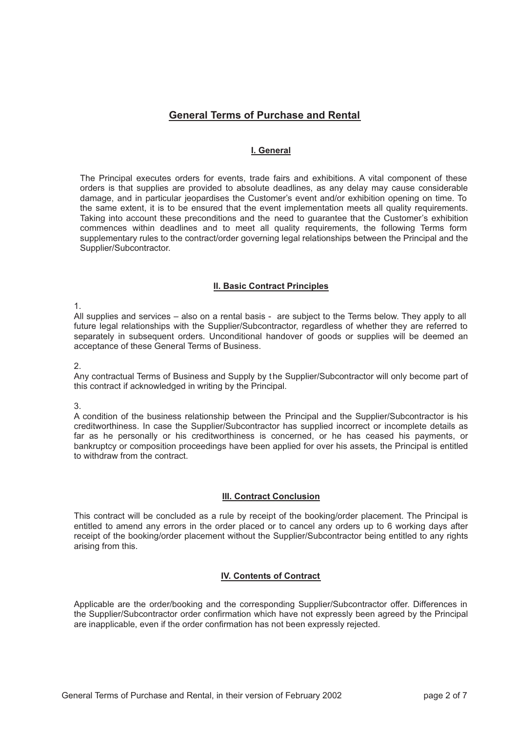# **General Terms of Purchase and Rental**

# **I. General**

The Principal executes orders for events, trade fairs and exhibitions. A vital component of these orders is that supplies are provided to absolute deadlines, as any delay may cause considerable damage, and in particular jeopardises the Customer's event and/or exhibition opening on time. To the same extent, it is to be ensured that the event implementation meets all quality requirements. Taking into account these preconditions and the need to guarantee that the Customer's exhibition commences within deadlines and to meet all quality requirements, the following Terms form supplementary rules to the contract/order governing legal relationships between the Principal and the Supplier/Subcontractor.

#### **II. Basic Contract Principles**

1.

All supplies and services – also on a rental basis - are subject to the Terms below. They apply to all future legal relationships with the Supplier/Subcontractor, regardless of whether they are referred to separately in subsequent orders. Unconditional handover of goods or supplies will be deemed an acceptance of these General Terms of Business.

2.

Any contractual Terms of Business and Supply by the Supplier/Subcontractor will only become part of this contract if acknowledged in writing by the Principal.

3.

A condition of the business relationship between the Principal and the Supplier/Subcontractor is his creditworthiness. In case the Supplier/Subcontractor has supplied incorrect or incomplete details as far as he personally or his creditworthiness is concerned, or he has ceased his payments, or bankruptcy or composition proceedings have been applied for over his assets, the Principal is entitled to withdraw from the contract.

## **III. Contract Conclusion**

This contract will be concluded as a rule by receipt of the booking/order placement. The Principal is entitled to amend any errors in the order placed or to cancel any orders up to 6 working days after receipt of the booking/order placement without the Supplier/Subcontractor being entitled to any rights arising from this.

## **IV. Contents of Contract**

Applicable are the order/booking and the corresponding Supplier/Subcontractor offer. Differences in the Supplier/Subcontractor order confirmation which have not expressly been agreed by the Principal are inapplicable, even if the order confirmation has not been expressly rejected.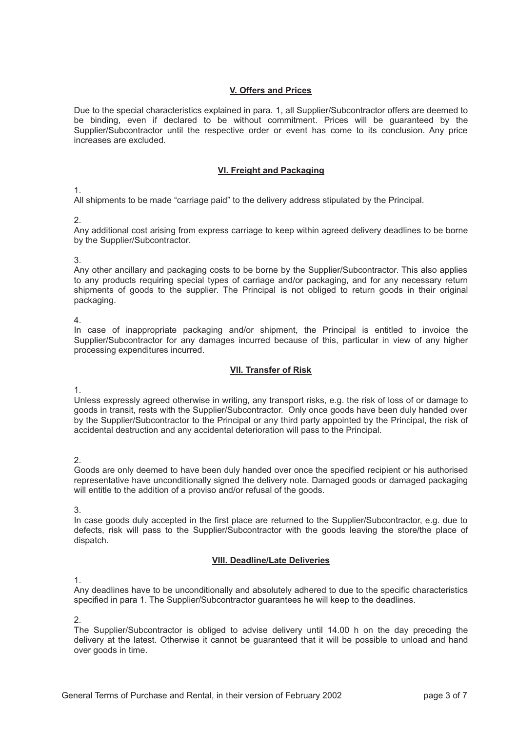## **V. Offers and Prices**

Due to the special characteristics explained in para. 1, all Supplier/Subcontractor offers are deemed to be binding, even if declared to be without commitment. Prices will be guaranteed by the Supplier/Subcontractor until the respective order or event has come to its conclusion. Any price increases are excluded.

## **VI. Freight and Packaging**

#### 1.

All shipments to be made "carriage paid" to the delivery address stipulated by the Principal.

#### 2.

Any additional cost arising from express carriage to keep within agreed delivery deadlines to be borne by the Supplier/Subcontractor.

#### 3.

Any other ancillary and packaging costs to be borne by the Supplier/Subcontractor. This also applies to any products requiring special types of carriage and/or packaging, and for any necessary return shipments of goods to the supplier. The Principal is not obliged to return goods in their original packaging.

#### 4.

In case of inappropriate packaging and/or shipment, the Principal is entitled to invoice the Supplier/Subcontractor for any damages incurred because of this, particular in view of any higher processing expenditures incurred.

## **VII. Transfer of Risk**

#### 1.

Unless expressly agreed otherwise in writing, any transport risks, e.g. the risk of loss of or damage to goods in transit, rests with the Supplier/Subcontractor. Only once goods have been duly handed over by the Supplier/Subcontractor to the Principal or any third party appointed by the Principal, the risk of accidental destruction and any accidental deterioration will pass to the Principal.

# 2.

Goods are only deemed to have been duly handed over once the specified recipient or his authorised representative have unconditionally signed the delivery note. Damaged goods or damaged packaging will entitle to the addition of a proviso and/or refusal of the goods.

## 3.

In case goods duly accepted in the first place are returned to the Supplier/Subcontractor, e.g. due to defects, risk will pass to the Supplier/Subcontractor with the goods leaving the store/the place of dispatch.

## **VIII. Deadline/Late Deliveries**

# 1.

Any deadlines have to be unconditionally and absolutely adhered to due to the specific characteristics specified in para 1. The Supplier/Subcontractor guarantees he will keep to the deadlines.

## 2.

The Supplier/Subcontractor is obliged to advise delivery until 14.00 h on the day preceding the delivery at the latest. Otherwise it cannot be guaranteed that it will be possible to unload and hand over goods in time.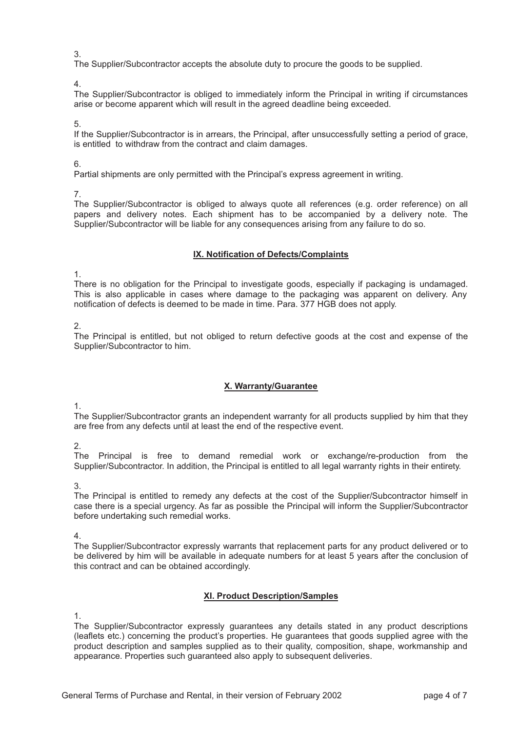3.

The Supplier/Subcontractor accepts the absolute duty to procure the goods to be supplied.

4.

The Supplier/Subcontractor is obliged to immediately inform the Principal in writing if circumstances arise or become apparent which will result in the agreed deadline being exceeded.

5.

If the Supplier/Subcontractor is in arrears, the Principal, after unsuccessfully setting a period of grace, is entitled to withdraw from the contract and claim damages.

6.

Partial shipments are only permitted with the Principal's express agreement in writing.

7.

The Supplier/Subcontractor is obliged to always quote all references (e.g. order reference) on all papers and delivery notes. Each shipment has to be accompanied by a delivery note. The Supplier/Subcontractor will be liable for any consequences arising from any failure to do so.

# **IX. Notification of Defects/Complaints**

1.

There is no obligation for the Principal to investigate goods, especially if packaging is undamaged. This is also applicable in cases where damage to the packaging was apparent on delivery. Any notification of defects is deemed to be made in time. Para. 377 HGB does not apply.

2.

The Principal is entitled, but not obliged to return defective goods at the cost and expense of the Supplier/Subcontractor to him.

# **X. Warranty/Guarantee**

1.

The Supplier/Subcontractor grants an independent warranty for all products supplied by him that they are free from any defects until at least the end of the respective event.

2.

The Principal is free to demand remedial work or exchange/re-production from the Supplier/Subcontractor. In addition, the Principal is entitled to all legal warranty rights in their entirety.

3.

The Principal is entitled to remedy any defects at the cost of the Supplier/Subcontractor himself in case there is a special urgency. As far as possible the Principal will inform the Supplier/Subcontractor before undertaking such remedial works.

4.

The Supplier/Subcontractor expressly warrants that replacement parts for any product delivered or to be delivered by him will be available in adequate numbers for at least 5 years after the conclusion of this contract and can be obtained accordingly.

# **XI. Product Description/Samples**

1.

The Supplier/Subcontractor expressly guarantees any details stated in any product descriptions (leaflets etc.) concerning the product's properties. He guarantees that goods supplied agree with the product description and samples supplied as to their quality, composition, shape, workmanship and appearance. Properties such guaranteed also apply to subsequent deliveries.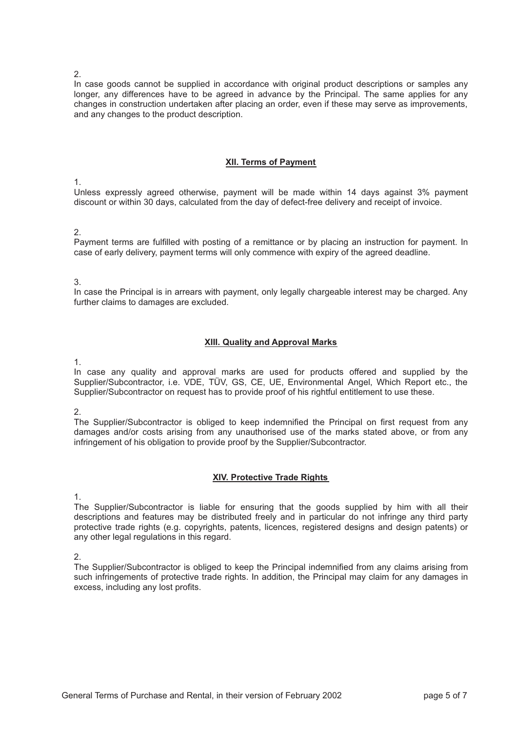2.

In case goods cannot be supplied in accordance with original product descriptions or samples any longer, any differences have to be agreed in advance by the Principal. The same applies for any changes in construction undertaken after placing an order, even if these may serve as improvements, and any changes to the product description.

#### **XII. Terms of Payment**

1.

Unless expressly agreed otherwise, payment will be made within 14 days against 3% payment discount or within 30 days, calculated from the day of defect-free delivery and receipt of invoice.

#### 2.

Payment terms are fulfilled with posting of a remittance or by placing an instruction for payment. In case of early delivery, payment terms will only commence with expiry of the agreed deadline.

#### 3.

In case the Principal is in arrears with payment, only legally chargeable interest may be charged. Any further claims to damages are excluded.

## **XIII. Quality and Approval Marks**

1.

In case any quality and approval marks are used for products offered and supplied by the Supplier/Subcontractor, i.e. VDE, TÜV, GS, CE, UE, Environmental Angel, Which Report etc., the Supplier/Subcontractor on request has to provide proof of his rightful entitlement to use these.

2.

The Supplier/Subcontractor is obliged to keep indemnified the Principal on first request from any damages and/or costs arising from any unauthorised use of the marks stated above, or from any infringement of his obligation to provide proof by the Supplier/Subcontractor.

## **XIV. Protective Trade Rights**

1.

The Supplier/Subcontractor is liable for ensuring that the goods supplied by him with all their descriptions and features may be distributed freely and in particular do not infringe any third party protective trade rights (e.g. copyrights, patents, licences, registered designs and design patents) or any other legal regulations in this regard.

2.

The Supplier/Subcontractor is obliged to keep the Principal indemnified from any claims arising from such infringements of protective trade rights. In addition, the Principal may claim for any damages in excess, including any lost profits.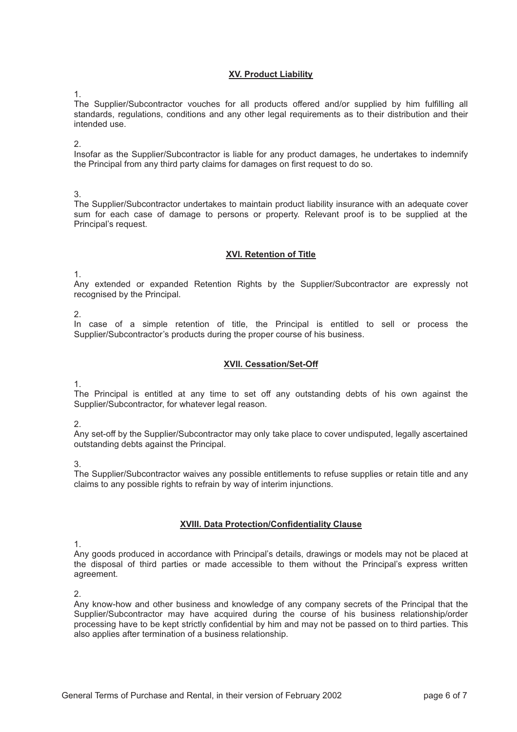## **XV. Product Liability**

1.

The Supplier/Subcontractor vouches for all products offered and/or supplied by him fulfilling all standards, regulations, conditions and any other legal requirements as to their distribution and their intended use.

2.

Insofar as the Supplier/Subcontractor is liable for any product damages, he undertakes to indemnify the Principal from any third party claims for damages on first request to do so.

3.

The Supplier/Subcontractor undertakes to maintain product liability insurance with an adequate cover sum for each case of damage to persons or property. Relevant proof is to be supplied at the Principal's request.

## **XVI. Retention of Title**

1.

Any extended or expanded Retention Rights by the Supplier/Subcontractor are expressly not recognised by the Principal.

2.

In case of a simple retention of title, the Principal is entitled to sell or process the Supplier/Subcontractor's products during the proper course of his business.

# **XVII. Cessation/Set-Off**

1.

The Principal is entitled at any time to set off any outstanding debts of his own against the Supplier/Subcontractor, for whatever legal reason.

2.

Any set-off by the Supplier/Subcontractor may only take place to cover undisputed, legally ascertained outstanding debts against the Principal.

3.

The Supplier/Subcontractor waives any possible entitlements to refuse supplies or retain title and any claims to any possible rights to refrain by way of interim injunctions.

## **XVIII. Data Protection/Confidentiality Clause**

1.

Any goods produced in accordance with Principal's details, drawings or models may not be placed at the disposal of third parties or made accessible to them without the Principal's express written agreement.

 $\mathcal{P}$ 

Any know-how and other business and knowledge of any company secrets of the Principal that the Supplier/Subcontractor may have acquired during the course of his business relationship/order processing have to be kept strictly confidential by him and may not be passed on to third parties. This also applies after termination of a business relationship.